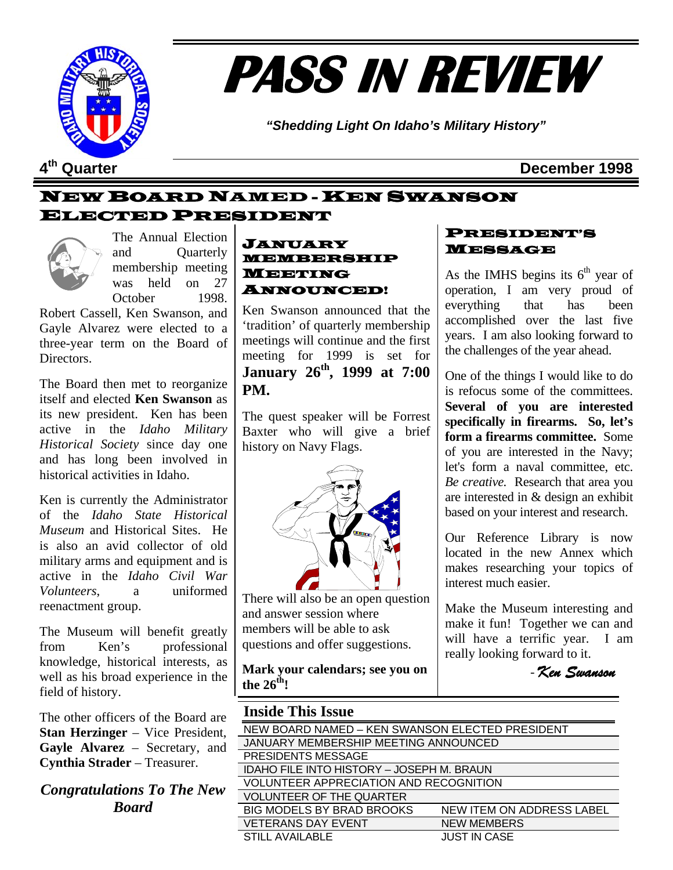

# **PASS IN REVIEW**

*"Shedding Light On Idaho's Military History"* 

**4th Quarter December 1998**

# NEW BOARD NAMED - KEN SWANSON ELECTED PRESIDENT



The Annual Election and Quarterly membership meeting was held on 27 October 1998.

Robert Cassell, Ken Swanson, and Gayle Alvarez were elected to a three-year term on the Board of Directors.

The Board then met to reorganize itself and elected **Ken Swanson** as its new president. Ken has been active in the *Idaho Military Historical Society* since day one and has long been involved in historical activities in Idaho.

Ken is currently the Administrator of the *Idaho State Historical Museum* and Historical Sites. He is also an avid collector of old military arms and equipment and is active in the *Idaho Civil War Volunteers*, a uniformed reenactment group.

The Museum will benefit greatly from Ken's professional knowledge, historical interests, as well as his broad experience in the field of history.

The other officers of the Board are **Stan Herzinger** – Vice President, **Gayle Alvarez** – Secretary, and **Cynthia Strader** – Treasurer.

*Congratulations To The New Board* 

### JANUARY MEMBERSHIP MEETING ANNOUNCED!

Ken Swanson announced that the 'tradition' of quarterly membership meetings will continue and the first meeting for 1999 is set for **January 26th, 1999 at 7:00 PM.** 

The quest speaker will be Forrest Baxter who will give a brief history on Navy Flags.



There will also be an open question and answer session where members will be able to ask questions and offer suggestions.

**Mark your calendars; see you on**  the  $26^{th}$ !

#### PRESIDENT'S MESSAGE

As the IMHS begins its  $6<sup>th</sup>$  year of operation, I am very proud of everything that has been accomplished over the last five years. I am also looking forward to the challenges of the year ahead.

One of the things I would like to do is refocus some of the committees. **Several of you are interested specifically in firearms. So, let's form a firearms committee.** Some of you are interested in the Navy; let's form a naval committee, etc. *Be creative.* Research that area you are interested in & design an exhibit based on your interest and research.

Our Reference Library is now located in the new Annex which makes researching your topics of interest much easier.

Make the Museum interesting and make it fun! Together we can and will have a terrific year. I am really looking forward to it.

*- Ken Swanson*

# **Inside This Issue**

| NEW BOARD NAMED - KEN SWANSON ELECTED PRESIDENT |                           |  |  |  |  |
|-------------------------------------------------|---------------------------|--|--|--|--|
| JANUARY MEMBERSHIP MEETING ANNOUNCED            |                           |  |  |  |  |
| PRESIDENTS MESSAGE                              |                           |  |  |  |  |
| IDAHO FILE INTO HISTORY - JOSEPH M. BRAUN       |                           |  |  |  |  |
| <b>VOLUNTEER APPRECIATION AND RECOGNITION</b>   |                           |  |  |  |  |
| <b>VOLUNTEER OF THE QUARTER</b>                 |                           |  |  |  |  |
| <b>BIG MODELS BY BRAD BROOKS</b>                | NEW ITEM ON ADDRESS LABEL |  |  |  |  |
| <b>VETERANS DAY EVENT</b>                       | <b>NEW MEMBERS</b>        |  |  |  |  |
| <b>STILL AVAILABLE</b>                          | <b>JUST IN CASE</b>       |  |  |  |  |
|                                                 |                           |  |  |  |  |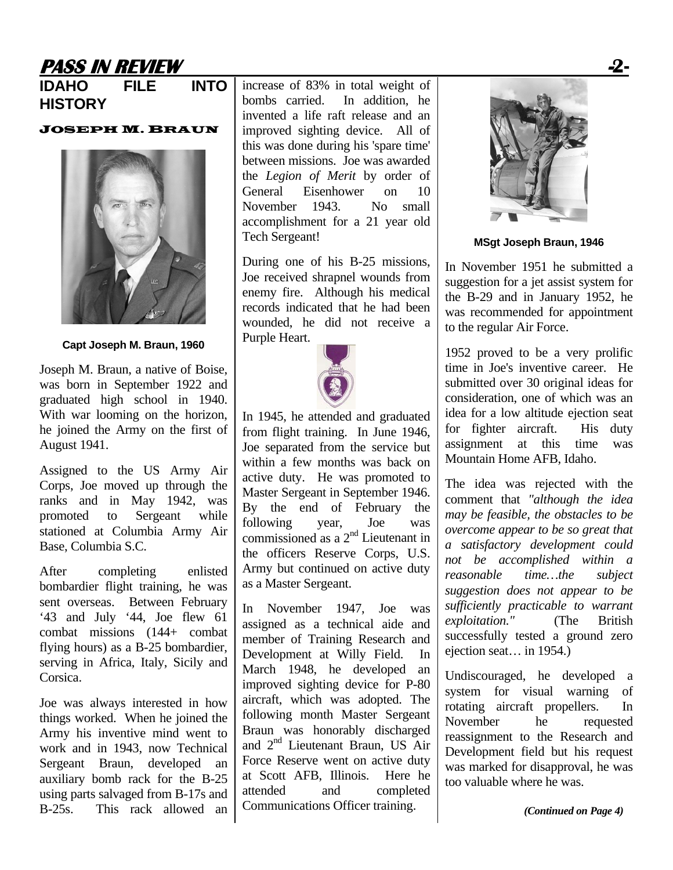# **PASS IN REVIEW -2-**

# **IDAHO FILE INTO HISTORY**

#### JOSEPH M. BRAUN



**Capt Joseph M. Braun, 1960** 

Joseph M. Braun, a native of Boise, was born in September 1922 and graduated high school in 1940. With war looming on the horizon, he joined the Army on the first of August 1941.

Assigned to the US Army Air Corps, Joe moved up through the ranks and in May 1942, was promoted to Sergeant while stationed at Columbia Army Air Base, Columbia S.C.

After completing enlisted bombardier flight training, he was sent overseas. Between February '43 and July '44, Joe flew 61 combat missions (144+ combat flying hours) as a B-25 bombardier, serving in Africa, Italy, Sicily and Corsica.

Joe was always interested in how things worked. When he joined the Army his inventive mind went to work and in 1943, now Technical Sergeant Braun, developed an auxiliary bomb rack for the B-25 using parts salvaged from B-17s and B-25s. This rack allowed an increase of 83% in total weight of bombs carried. In addition, he invented a life raft release and an improved sighting device. All of this was done during his 'spare time' between missions. Joe was awarded the *Legion of Merit* by order of General Eisenhower on 10 November 1943. No small accomplishment for a 21 year old Tech Sergeant!

During one of his B-25 missions, Joe received shrapnel wounds from enemy fire. Although his medical records indicated that he had been wounded, he did not receive a Purple Heart.



In 1945, he attended and graduated from flight training. In June 1946, Joe separated from the service but within a few months was back on active duty. He was promoted to Master Sergeant in September 1946. By the end of February the following year, Joe was commissioned as a  $2<sup>nd</sup>$  Lieutenant in the officers Reserve Corps, U.S. Army but continued on active duty as a Master Sergeant.

In November 1947, Joe was assigned as a technical aide and member of Training Research and Development at Willy Field. In March 1948, he developed an improved sighting device for P-80 aircraft, which was adopted. The following month Master Sergeant Braun was honorably discharged and 2nd Lieutenant Braun, US Air Force Reserve went on active duty at Scott AFB, Illinois. Here he attended and completed Communications Officer training.



**MSgt Joseph Braun, 1946** 

In November 1951 he submitted a suggestion for a jet assist system for the B-29 and in January 1952, he was recommended for appointment to the regular Air Force.

1952 proved to be a very prolific time in Joe's inventive career. He submitted over 30 original ideas for consideration, one of which was an idea for a low altitude ejection seat for fighter aircraft. His duty assignment at this time was Mountain Home AFB, Idaho.

The idea was rejected with the comment that *"although the idea may be feasible, the obstacles to be overcome appear to be so great that a satisfactory development could not be accomplished within a reasonable time…the subject suggestion does not appear to be sufficiently practicable to warrant exploitation."* (The British successfully tested a ground zero ejection seat… in 1954.)

Undiscouraged, he developed a system for visual warning of rotating aircraft propellers. In November he requested reassignment to the Research and Development field but his request was marked for disapproval, he was too valuable where he was.

*(Continued on Page 4)*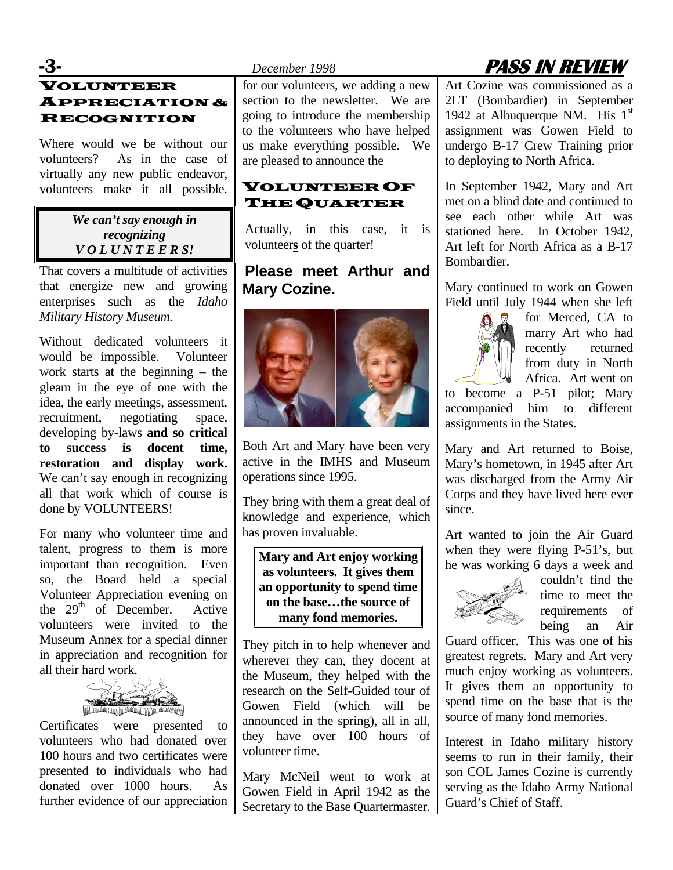# VOLUNTEER APPRECIATION & RECOGNITION

Where would we be without our volunteers? As in the case of virtually any new public endeavor, volunteers make it all possible.

> *We can't say enough in recognizing V O L U N T E E R S!*

That covers a multitude of activities that energize new and growing enterprises such as the *Idaho Military History Museum.*

Without dedicated volunteers it would be impossible. Volunteer work starts at the beginning – the gleam in the eye of one with the idea, the early meetings, assessment, recruitment, negotiating space, developing by-laws **and so critical to success is docent time, restoration and display work.**  We can't say enough in recognizing all that work which of course is done by VOLUNTEERS!

For many who volunteer time and talent, progress to them is more important than recognition. Even so, the Board held a special Volunteer Appreciation evening on the  $29<sup>th</sup>$  of December. Active volunteers were invited to the Museum Annex for a special dinner in appreciation and recognition for all their hard work.



Certificates were presented to volunteers who had donated over 100 hours and two certificates were presented to individuals who had donated over 1000 hours. As further evidence of our appreciation

for our volunteers, we adding a new section to the newsletter. We are going to introduce the membership to the volunteers who have helped us make everything possible. We are pleased to announce the

#### VOLUNTEER OF THE QUARTER

Actually, in this case, it is volunteer**s** of the quarter!

## **Please meet Arthur and Mary Cozine.**



Both Art and Mary have been very active in the IMHS and Museum operations since 1995.

They bring with them a great deal of knowledge and experience, which has proven invaluable.

**Mary and Art enjoy working as volunteers. It gives them an opportunity to spend time on the base…the source of many fond memories.**

They pitch in to help whenever and wherever they can, they docent at the Museum, they helped with the research on the Self-Guided tour of Gowen Field (which will be announced in the spring), all in all, they have over 100 hours of volunteer time.

Mary McNeil went to work at Gowen Field in April 1942 as the Secretary to the Base Quartermaster.

# **-3-** *December 1998* **PASS IN REVIEW**

Art Cozine was commissioned as a 2LT (Bombardier) in September 1942 at Albuquerque NM. His  $1<sup>st</sup>$ assignment was Gowen Field to undergo B-17 Crew Training prior to deploying to North Africa.

In September 1942, Mary and Art met on a blind date and continued to see each other while Art was stationed here. In October 1942, Art left for North Africa as a B-17 Bombardier.

Mary continued to work on Gowen Field until July 1944 when she left



for Merced, CA to marry Art who had recently returned from duty in North Africa. Art went on

to become a P-51 pilot; Mary accompanied him to different assignments in the States.

Mary and Art returned to Boise, Mary's hometown, in 1945 after Art was discharged from the Army Air Corps and they have lived here ever since.

Art wanted to join the Air Guard when they were flying P-51's, but he was working 6 days a week and



couldn't find the time to meet the requirements of being an Air

Guard officer. This was one of his greatest regrets. Mary and Art very much enjoy working as volunteers. It gives them an opportunity to spend time on the base that is the source of many fond memories.

Interest in Idaho military history seems to run in their family, their son COL James Cozine is currently serving as the Idaho Army National Guard's Chief of Staff.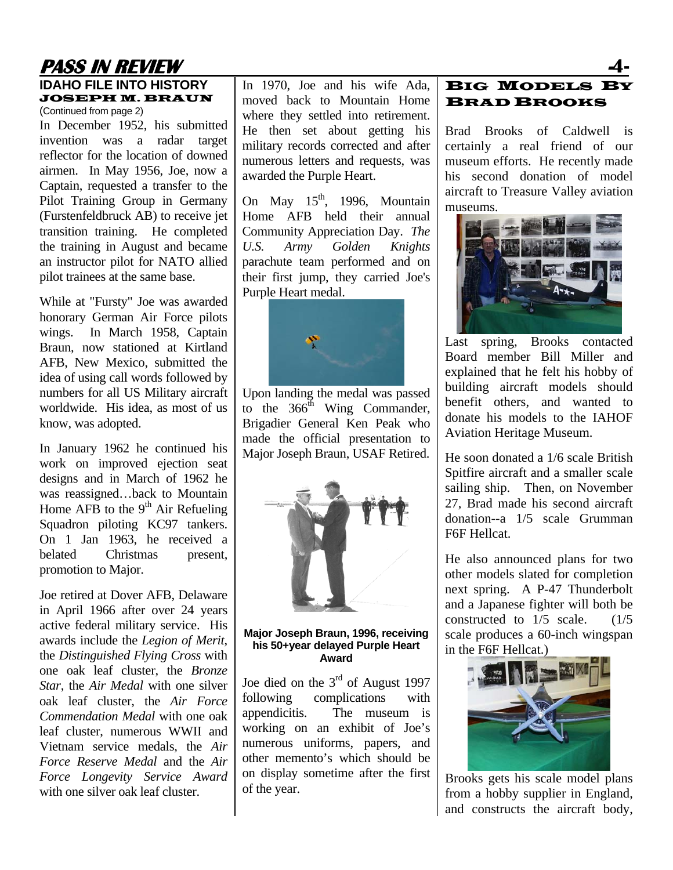# **PASS IN REVIEW**

#### **IDAHO FILE INTO HISTORY**  JOSEPH M. BRAUN (Continued from page 2)

In December 1952, his submitted invention was a radar target reflector for the location of downed airmen. In May 1956, Joe, now a Captain, requested a transfer to the Pilot Training Group in Germany (Furstenfeldbruck AB) to receive jet transition training. He completed the training in August and became an instructor pilot for NATO allied pilot trainees at the same base.

While at "Fursty" Joe was awarded honorary German Air Force pilots wings. In March 1958, Captain Braun, now stationed at Kirtland AFB, New Mexico, submitted the idea of using call words followed by numbers for all US Military aircraft worldwide. His idea, as most of us know, was adopted.

In January 1962 he continued his work on improved ejection seat designs and in March of 1962 he was reassigned…back to Mountain Home AFB to the  $9<sup>th</sup>$  Air Refueling Squadron piloting KC97 tankers. On 1 Jan 1963, he received a belated Christmas present, promotion to Major.

Joe retired at Dover AFB, Delaware in April 1966 after over 24 years active federal military service. His awards include the *Legion of Merit*, the *Distinguished Flying Cross* with one oak leaf cluster, the *Bronze Star*, the *Air Medal* with one silver oak leaf cluster, the *Air Force Commendation Medal* with one oak leaf cluster, numerous WWII and Vietnam service medals, the *Air Force Reserve Medal* and the *Air Force Longevity Service Award*  with one silver oak leaf cluster.

In 1970, Joe and his wife Ada, moved back to Mountain Home where they settled into retirement. He then set about getting his military records corrected and after numerous letters and requests, was awarded the Purple Heart.

On May  $15<sup>th</sup>$ , 1996, Mountain Home AFB held their annual Community Appreciation Day. *The U.S. Army Golden Knights* parachute team performed and on their first jump, they carried Joe's Purple Heart medal.



Upon landing the medal was passed to the  $366^{\text{th}}$  Wing Commander, Brigadier General Ken Peak who made the official presentation to Major Joseph Braun, USAF Retired.



**Major Joseph Braun, 1996, receiving his 50+year delayed Purple Heart Award** 

Joe died on the 3rd of August 1997 following complications with appendicitis. The museum is working on an exhibit of Joe's numerous uniforms, papers, and other memento's which should be on display sometime after the first of the year.

## **BIG MODELS** BRAD BROOKS

Brad Brooks of Caldwell is certainly a real friend of our museum efforts. He recently made his second donation of model aircraft to Treasure Valley aviation museums.



Last spring, Brooks contacted Board member Bill Miller and explained that he felt his hobby of building aircraft models should benefit others, and wanted to donate his models to the IAHOF Aviation Heritage Museum.

He soon donated a 1/6 scale British Spitfire aircraft and a smaller scale sailing ship. Then, on November 27, Brad made his second aircraft donation--a 1/5 scale Grumman F6F Hellcat.

He also announced plans for two other models slated for completion next spring. A P-47 Thunderbolt and a Japanese fighter will both be constructed to 1/5 scale. (1/5 scale produces a 60-inch wingspan in the F6F Hellcat.)



Brooks gets his scale model plans from a hobby supplier in England, and constructs the aircraft body,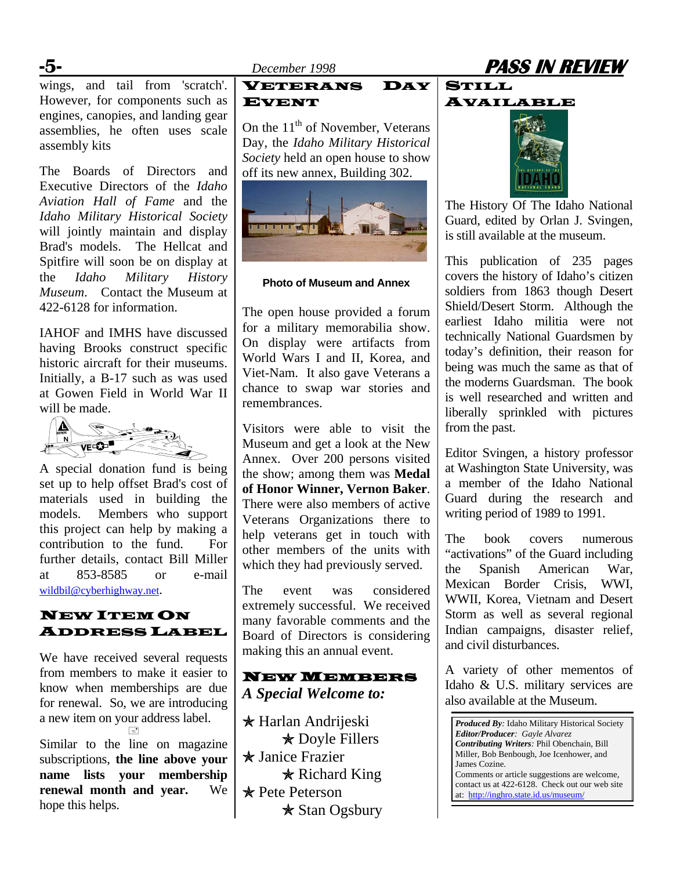

wings, and tail from 'scratch'. However, for components such as engines, canopies, and landing gear assemblies, he often uses scale assembly kits

The Boards of Directors and Executive Directors of the *Idaho Aviation Hall of Fame* and the *Idaho Military Historical Society* will jointly maintain and display Brad's models. The Hellcat and Spitfire will soon be on display at the *Idaho Military History Museum*. Contact the Museum at 422-6128 for information.

IAHOF and IMHS have discussed having Brooks construct specific historic aircraft for their museums. Initially, a B-17 such as was used at Gowen Field in World War II will be made.



A special donation fund is being set up to help offset Brad's cost of materials used in building the models. Members who support this project can help by making a contribution to the fund. For further details, contact Bill Miller at 853-8585 or e-mail [wildbil@cyberhighway.net.](mailto:wildbil@cyberhighway.net)

#### NEW ITEM ON ADDRESS LABEL

We have received several requests from members to make it easier to know when memberships are due for renewal. So, we are introducing a new item on your address label.  $\overline{=}$ 

Similar to the line on magazine subscriptions, **the line above your name lists your membership renewal month and year.** We hope this helps.

VETERANS DAY EVENT

On the  $11<sup>th</sup>$  of November, Veterans Day, the *Idaho Military Historical Society* held an open house to show off its new annex, Building 302.



**Photo of Museum and Annex** 

The open house provided a forum for a military memorabilia show. On display were artifacts from World Wars I and II, Korea, and Viet-Nam. It also gave Veterans a chance to swap war stories and remembrances.

Visitors were able to visit the Museum and get a look at the New Annex. Over 200 persons visited the show; among them was **Medal of Honor Winner, Vernon Baker**. There were also members of active Veterans Organizations there to help veterans get in touch with other members of the units with which they had previously served.

The event was considered extremely successful. We received many favorable comments and the Board of Directors is considering making this an annual event.

#### NEW MEMBERS *A Special Welcome to:*

2 Harlan Andrijeski  $\star$  Doyle Fillers  $\star$  Janice Frazier  $*$  Richard King \* Pete Peterson  $*$  Stan Ogsbury





The History Of The Idaho National Guard, edited by Orlan J. Svingen, is still available at the museum.

This publication of 235 pages covers the history of Idaho's citizen soldiers from 1863 though Desert Shield/Desert Storm. Although the earliest Idaho militia were not technically National Guardsmen by today's definition, their reason for being was much the same as that of the moderns Guardsman. The book is well researched and written and liberally sprinkled with pictures from the past.

Editor Svingen, a history professor at Washington State University, was a member of the Idaho National Guard during the research and writing period of 1989 to 1991.

The book covers numerous "activations" of the Guard including the Spanish American War, Mexican Border Crisis, WWI, WWII, Korea, Vietnam and Desert Storm as well as several regional Indian campaigns, disaster relief, and civil disturbances.

A variety of other mementos of Idaho & U.S. military services are also available at the Museum.

*Produced By:* Idaho Military Historical Society *Editor/Producer: Gayle Alvarez Contributing Writers:* Phil Obenchain, Bill Miller, Bob Benbough, Joe Icenhower, and James Cozine. Comments or article suggestions are welcome, contact us at 422-6128. Check out our web site at: <http://inghro.state.id.us/museum/>